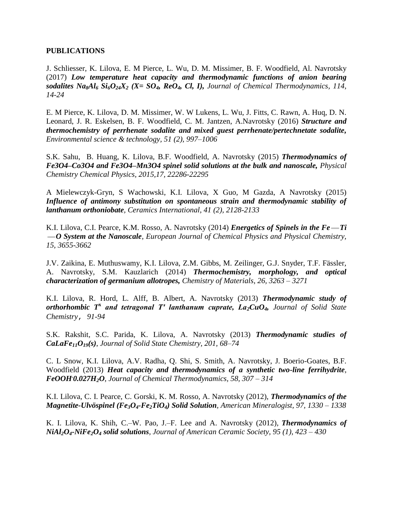#### **PUBLICATIONS**

J. Schliesser, K. Lilova, E. M Pierce, L. Wu, D. M. Missimer, B. F. Woodfield, Al. Navrotsky (2017) *Low temperature heat capacity and thermodynamic functions of anion bearing*  sodalites  $N a_8 A l_6 S i_6 O_2 A X_2$  ( $X = SO_4$ ,  $Re O_4$ ,  $Cl$ , *I*), *Journal of Chemical Thermodynamics, 114, 14-24* 

E. M Pierce, K. Lilova, D. M. Missimer, W. W Lukens, L. Wu, J. Fitts, C. Rawn, A. Huq, D. N. Leonard, J. R. Eskelsen, B. F. Woodfield, C. M. Jantzen, A.Navrotsky (2016) *Structure and thermochemistry of perrhenate sodalite and mixed guest perrhenate/pertechnetate sodalite, Environmental science & technology, 51 (2), 997–1006*

S.K. Sahu, B. Huang, K. Lilova, B.F. Woodfield, A. Navrotsky (2015) *Thermodynamics of Fe3O4–Co3O4 and Fe3O4–Mn3O4 spinel solid solutions at the bulk and nanoscale, Physical Chemistry Chemical Physics, 2015,17, 22286-22295*

A Mielewczyk-Gryn, S Wachowski, K.I. Lilova, X Guo, M Gazda, A Navrotsky (2015) *Influence of antimony substitution on spontaneous strain and thermodynamic stability of lanthanum orthoniobate, Ceramics International, 41 (2), 2128-2133*

K.I. Lilova, C.I. Pearce, K.M. Rosso, A. Navrotsky (2014) *Energetics of Spinels in the Fe Ti O System at the Nanoscale, European Journal of Chemical Physics and Physical Chemistry, 15, 3655-3662*

J.V. Zaikina, E. Muthuswamy, K.I. Lilova, Z.M. Gibbs, M. Zeilinger, G.J. Snyder, T.F. Fässler, A. Navrotsky, S.M. Kauzlarich (2014) *Thermochemistry, morphology, and optical characterization of germanium allotropes, Chemistry of Materials*, *26, 3263 – 3271*

K.I. Lilova, R. Hord, L. Alff, B. Albert, A. Navrotsky (2013) *Thermodynamic study of orthorhombic T***<sup>x</sup>** *and tetragonal T′ lanthanum cuprate, La2CuO4, Journal of Solid State Chemistry*, *91-94* 

S.K. Rakshit, S.C. Parida, K. Lilova, A. Navrotsky (2013) *Thermodynamic studies of CaLaFe11O19(s)*, *Journal of Solid State Chemistry, 201, 68–74*

C. L Snow, K.I. Lilova, A.V. Radha, Q. Shi, S. Smith, A. Navrotsky, J. Boerio-Goates, B.F. Woodfield (2013) *Heat capacity and thermodynamics of a synthetic two-line ferrihydrite, FeOOH. 0.027H2O*, *Journal of Chemical Thermodynamics, 58, 307 – 314* 

K.I. Lilova, C. I. Pearce, C. Gorski, K. M. Rosso, A. Navrotsky (2012), *Thermodynamics of the Magnetite-Ulvöspinel (Fe3O4-Fe2TiO4) Solid Solution, American Mineralogist, 97, 1330 – 1338*

K. I. Lilova, K. Shih, C.–W. Pao, J.–F. Lee and A. Navrotsky (2012)*, Thermodynamics of NiAl2O4-NiFe2O<sup>4</sup> solid solutions, Journal of American Ceramic Society, 95 (1), 423 – 430*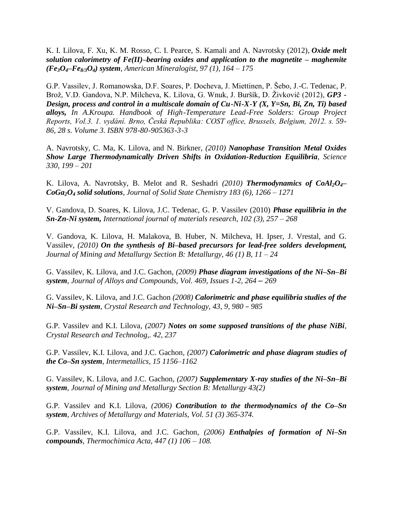K. I. Lilova, F. Xu, K. M. Rosso, C. I. Pearce, S. Kamali and A. Navrotsky (2012), *Oxide melt solution calorimetry of Fe(II)–bearing oxides and application to the magnetite – maghemite (Fe3O4–Fe8/3O4) system, American Mineralogist, 97 (1), 164 – 175*

G.P. Vassilev, J. Romanowska, D.F. Soares, P. Docheva, J. Miettinen, P. Šebo, J.-C. Tedenac, P. Brož, V.D. Gandova, N.P. Milcheva, K. Lilova, G. Wnuk, J. Buršík, D. Živkovič (2012), *GP3 - Design, process and control in a multiscale domain of Cu-Ni-X-Y (X, Y=Sn, Bi, Zn, Ti) based alloys, In A.Kroupa. Handbook of High-Temperature Lead-Free Solders: Group Project Reports, Vol.3. 1. vydání. Brno, Česká Republika: COST office, Brussels, Belgium, 2012. s. 59- 86, 28 s. Volume 3. ISBN 978-80-905363-3-3*

A. Navrotsky, C. Ma, K. Lilova, and N. Birkner*, (2010) Nanophase Transition Metal Oxides Show Large Thermodynamically Driven Shifts in Oxidation-Reduction Equilibria, Science 330, 199 – 201*

K. Lilova, A. Navrotsky*,* B. Melot and R. Seshadri *(2010) Thermodynamics of CoAl2O4– CoGa2O<sup>4</sup> solid solutions, Journal of Solid State Chemistry 183 (6), 1266 – 1271*

V. Gandova, D. Soares, K. Lilova, J.C. Tedenac, G. P. Vassilev (2010) *Phase equilibria in the Sn-Zn-Ni system, International journal of materials research, 102 (3), 257 – 268*

V. Gandova, K. Lilova, H. Malakova, B. Huber, N. Milcheva, H. Ipser, J. Vrestal, and G. Vassilev*, (2010) On the synthesis of Bi–based precursors for lead-free solders development, Journal of Mining and Metallurgy Section B: Metallurgy, 46 (1) B, 11 – 24*

G. Vassilev, K. Lilova, and J.C. Gachon*, (2009) Phase diagram investigations of the Ni–Sn–Bi system, Journal of Alloys and Compounds, [Vol. 469, Issues 1-2,](http://www.sciencedirect.com/science?_ob=PublicationURL&_tockey=%23TOC%235575%232009%23995309998%23857278%23FLA%23&_cdi=5575&_pubType=J&view=c&_auth=y&_acct=C000059598&_version=1&_urlVersion=0&_userid=4421&md5=f7d5183dea56404fc218cb9ec7955740) 264 – 269* 

G. Vassilev, K. Lilova, and J.C. Gachon *(2008) Calorimetric and phase equilibria studies of the Ni–Sn–Bi system*, *Crystal Research and Technology, 43, 9, 980* – *985*

G.P. Vassilev and K.I. Lilova*, (2007) Notes on some supposed transitions of the phase NiBi, Crystal Research and Technolog,. 42, 237* 

G.P. Vassilev, K.I. Lilova, and J.C. Gachon*, (2007) Calorimetric and phase diagram studies of the Co–Sn system, Intermetallics, 15 1156–1162*

G. Vassilev, K. Lilova, and J.C. Gachon*, (2007) Supplementary X-ray studies of the Ni–Sn–Bi system, Journal of Mining and Metallurgy Section B: Metallurgy 43(2)* 

G.P. Vassilev and K.I. Lilova*, (2006) Contribution to the thermodynamics of the Co–Sn system, Archives of Metallurgy and Materials, Vol. 51 (3) 365-374.* 

G.P. Vassilev, K.I. Lilova, and J.C. Gachon*, (2006) Enthalpies of formation of Ni–Sn compounds, Thermochimica Acta, 447 (1) 106 – 108.*